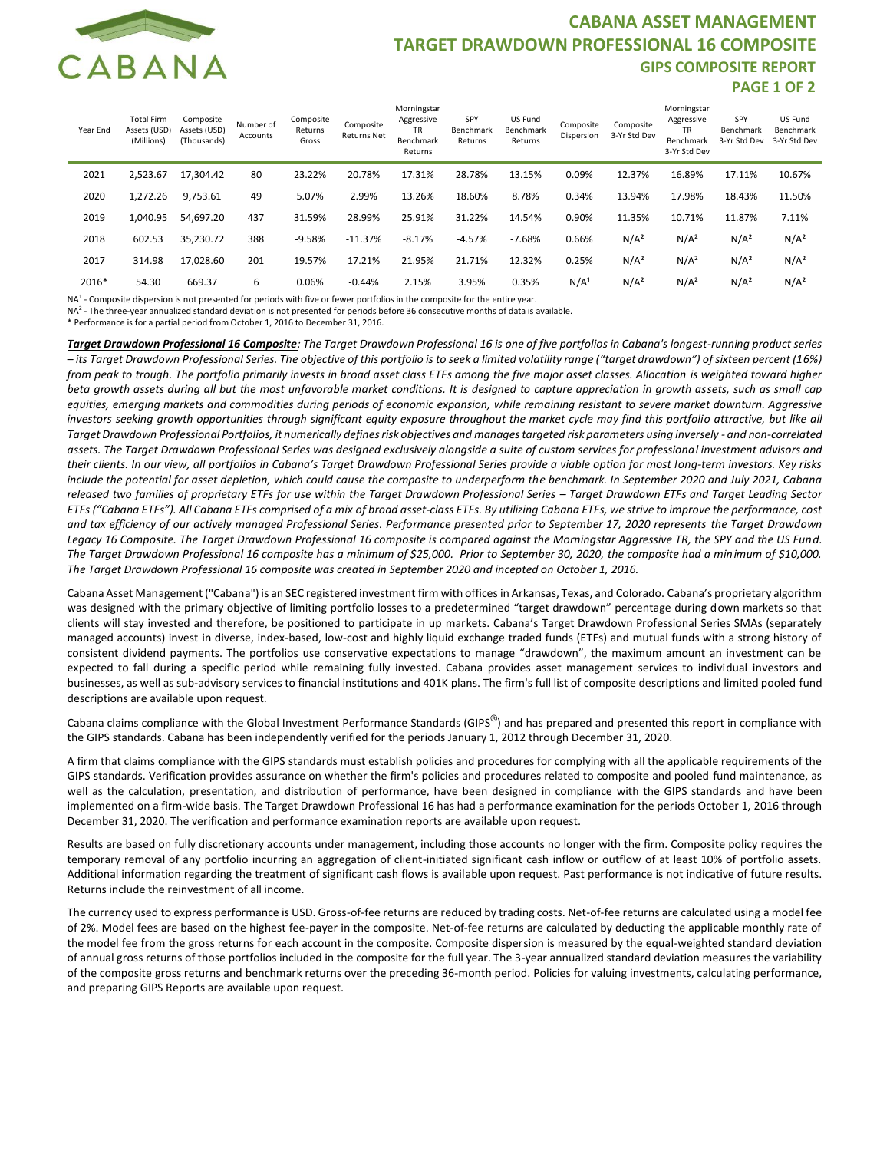

## **CABANA ASSET MANAGEMENT TARGET DRAWDOWN PROFESSIONAL 16 COMPOSITE GIPS COMPOSITE REPORT PAGE 1 OF 2**

| Year End | <b>Total Firm</b><br>Assets (USD)<br>(Millions) | Composite<br>Assets (USD)<br>(Thousands) | Number of<br>Accounts | Composite<br>Returns<br>Gross | Composite<br><b>Returns Net</b> | Morningstar<br>Aggressive<br><b>TR</b><br>Benchmark<br>Returns | SPY<br>Benchmark<br>Returns | US Fund<br>Benchmark<br>Returns | Composite<br>Dispersion | Composite<br>3-Yr Std Dev | Morningstar<br>Aggressive<br><b>TR</b><br>Benchmark<br>3-Yr Std Dev | SPY<br>Benchmark<br>3-Yr Std Dev | US Fund<br>Benchmark<br>3-Yr Std Dev |
|----------|-------------------------------------------------|------------------------------------------|-----------------------|-------------------------------|---------------------------------|----------------------------------------------------------------|-----------------------------|---------------------------------|-------------------------|---------------------------|---------------------------------------------------------------------|----------------------------------|--------------------------------------|
| 2021     | 2.523.67                                        | 17.304.42                                | 80                    | 23.22%                        | 20.78%                          | 17.31%                                                         | 28.78%                      | 13.15%                          | 0.09%                   | 12.37%                    | 16.89%                                                              | 17.11%                           | 10.67%                               |
| 2020     | 1.272.26                                        | 9,753.61                                 | 49                    | 5.07%                         | 2.99%                           | 13.26%                                                         | 18.60%                      | 8.78%                           | 0.34%                   | 13.94%                    | 17.98%                                                              | 18.43%                           | 11.50%                               |
| 2019     | 1.040.95                                        | 54,697.20                                | 437                   | 31.59%                        | 28.99%                          | 25.91%                                                         | 31.22%                      | 14.54%                          | 0.90%                   | 11.35%                    | 10.71%                                                              | 11.87%                           | 7.11%                                |
| 2018     | 602.53                                          | 35,230.72                                | 388                   | $-9.58%$                      | $-11.37%$                       | $-8.17%$                                                       | $-4.57%$                    | $-7.68%$                        | 0.66%                   | N/A <sup>2</sup>          | N/A <sup>2</sup>                                                    | N/A <sup>2</sup>                 | N/A <sup>2</sup>                     |
| 2017     | 314.98                                          | 17,028.60                                | 201                   | 19.57%                        | 17.21%                          | 21.95%                                                         | 21.71%                      | 12.32%                          | 0.25%                   | N/A <sup>2</sup>          | N/A <sup>2</sup>                                                    | N/A <sup>2</sup>                 | N/A <sup>2</sup>                     |
| 2016*    | 54.30                                           | 669.37                                   | 6                     | 0.06%                         | $-0.44%$                        | 2.15%                                                          | 3.95%                       | 0.35%                           | N/A                     | N/A <sup>2</sup>          | N/A <sup>2</sup>                                                    | N/A <sup>2</sup>                 | N/A <sup>2</sup>                     |

NA<sup>1</sup> - Composite dispersion is not presented for periods with five or fewer portfolios in the composite for the entire year.

NA2 - The three-year annualized standard deviation is not presented for periods before 36 consecutive months of data is available.

\* Performance is for a partial period from October 1, 2016 to December 31, 2016.

*Target Drawdown Professional 16 Composite: The Target Drawdown Professional 16 is one of five portfolios in Cabana's longest-running product series – its Target Drawdown Professional Series. The objective of this portfolio is to seek a limited volatility range ("target drawdown") of sixteen percent (16%)*  from peak to trough. The portfolio primarily invests in broad asset class ETFs among the five major asset classes. Allocation is weighted toward higher *beta growth assets during all but the most unfavorable market conditions. It is designed to capture appreciation in growth assets, such as small cap equities, emerging markets and commodities during periods of economic expansion, while remaining resistant to severe market downturn. Aggressive*  investors seeking growth opportunities through significant equity exposure throughout the market cycle may find this portfolio attractive, but like all *Target Drawdown Professional Portfolios, it numerically defines risk objectives and manages targeted risk parameters using inversely - and non-correlated assets. The Target Drawdown Professional Series was designed exclusively alongside a suite of custom services for professional investment advisors and their clients. In our view, all portfolios in Cabana's Target Drawdown Professional Series provide a viable option for most long-term investors. Key risks include the potential for asset depletion, which could cause the composite to underperform the benchmark. In September 2020 and July 2021, Cabana*  released two families of proprietary ETFs for use within the Target Drawdown Professional Series - Target Drawdown ETFs and Target Leading Sector *ETFs ("Cabana ETFs"). All Cabana ETFs comprised of a mix of broad asset-class ETFs. By utilizing Cabana ETFs, we strive to improve the performance, cost and tax efficiency of our actively managed Professional Series. Performance presented prior to September 17, 2020 represents the Target Drawdown Legacy 16 Composite. The Target Drawdown Professional 16 composite is compared against the Morningstar Aggressive TR, the SPY and the US Fund. The Target Drawdown Professional 16 composite has a minimum of \$25,000. Prior to September 30, 2020, the composite had a minimum of \$10,000. The Target Drawdown Professional 16 composite was created in September 2020 and incepted on October 1, 2016.*

Cabana Asset Management ("Cabana") is an SEC registered investment firm with offices in Arkansas, Texas, and Colorado. Cabana's proprietary algorithm was designed with the primary objective of limiting portfolio losses to a predetermined "target drawdown" percentage during down markets so that clients will stay invested and therefore, be positioned to participate in up markets. Cabana's Target Drawdown Professional Series SMAs (separately managed accounts) invest in diverse, index-based, low-cost and highly liquid exchange traded funds (ETFs) and mutual funds with a strong history of consistent dividend payments. The portfolios use conservative expectations to manage "drawdown", the maximum amount an investment can be expected to fall during a specific period while remaining fully invested. Cabana provides asset management services to individual investors and businesses, as well as sub-advisory services to financial institutions and 401K plans. The firm's full list of composite descriptions and limited pooled fund descriptions are available upon request.

Cabana claims compliance with the Global Investment Performance Standards (GIPS®) and has prepared and presented this report in compliance with the GIPS standards. Cabana has been independently verified for the periods January 1, 2012 through December 31, 2020.

A firm that claims compliance with the GIPS standards must establish policies and procedures for complying with all the applicable requirements of the GIPS standards. Verification provides assurance on whether the firm's policies and procedures related to composite and pooled fund maintenance, as well as the calculation, presentation, and distribution of performance, have been designed in compliance with the GIPS standards and have been implemented on a firm-wide basis. The Target Drawdown Professional 16 has had a performance examination for the periods October 1, 2016 through December 31, 2020. The verification and performance examination reports are available upon request.

Results are based on fully discretionary accounts under management, including those accounts no longer with the firm. Composite policy requires the temporary removal of any portfolio incurring an aggregation of client-initiated significant cash inflow or outflow of at least 10% of portfolio assets. Additional information regarding the treatment of significant cash flows is available upon request. Past performance is not indicative of future results. Returns include the reinvestment of all income.

The currency used to express performance is USD. Gross-of-fee returns are reduced by trading costs. Net-of-fee returns are calculated using a model fee of 2%. Model fees are based on the highest fee-payer in the composite. Net-of-fee returns are calculated by deducting the applicable monthly rate of the model fee from the gross returns for each account in the composite. Composite dispersion is measured by the equal-weighted standard deviation of annual gross returns of those portfolios included in the composite for the full year. The 3-year annualized standard deviation measures the variability of the composite gross returns and benchmark returns over the preceding 36-month period. Policies for valuing investments, calculating performance, and preparing GIPS Reports are available upon request.